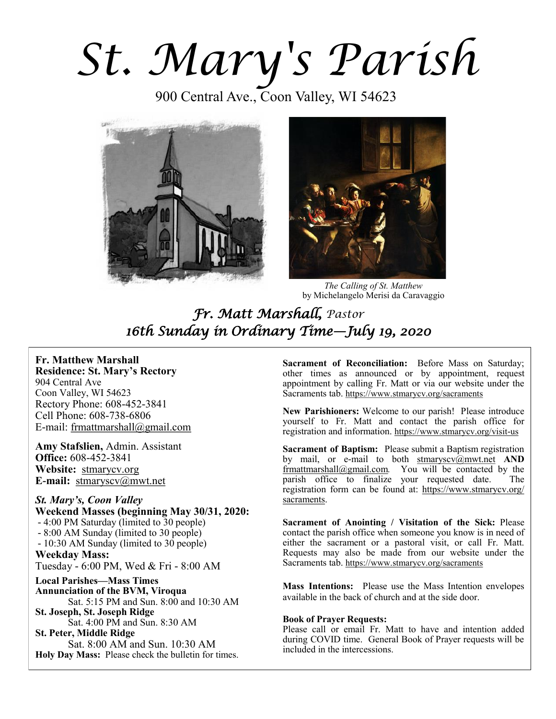*St. Mary's Parish* 

900 Central Ave., Coon Valley, WI 54623





*The Calling of St. Matthew*  by Michelangelo Merisi da Caravaggio

*Fr. Matt Marshall, Pastor 16th Sunday in Ordinary Time—July 19, 2020* 

# **Fr. Matthew Marshall**

**Residence: St. Mary's Rectory** 904 Central Ave Coon Valley, WI 54623 Rectory Phone: 608-452-3841 Cell Phone: 608-738-6806 E-mail: [frmattmarshall@gmail.com](mailto:frmattmarshall@gmail.com)

**Amy Stafslien,** Admin. Assistant **Office:** 608-452-3841 **Website:** <stmarycv.org> **E-mail:** [stmaryscv@mwt.net](mailto:stmaryscv@mwt.net)

*St. Mary's, Coon Valley*  **Weekend Masses (beginning May 30/31, 2020:** - 4:00 PM Saturday (limited to 30 people) - 8:00 AM Sunday (limited to 30 people) - 10:30 AM Sunday (limited to 30 people) **Weekday Mass:**  Tuesday - 6:00 PM, Wed & Fri - 8:00 AM **Local Parishes—Mass Times Annunciation of the BVM, Viroqua** Sat. 5:15 PM and Sun. 8:00 and 10:30 AM **St. Joseph, St. Joseph Ridge** Sat. 4:00 PM and Sun. 8:30 AM

**St. Peter, Middle Ridge** Sat. 8:00 AM and Sun. 10:30 AM **Holy Day Mass:** Please check the bulletin for times.

**Sacrament of Reconciliation:** Before Mass on Saturday; other times as announced or by appointment, request appointment by calling Fr. Matt or via our website under the Sacraments tab. <https://www.stmarycv.org/sacraments>

**New Parishioners:** Welcome to our parish! Please introduce yourself to Fr. Matt and contact the parish office for registration and information. <https://www.stmarycv.org/visit-us>

**Sacrament of Baptism:** Please submit a Baptism registration by mail, or e-mail to both [stmaryscv@mwt.net](mailto:stmaryscv@mwt.net) **AND** [frmattmarshall@gmail.com](mailto:frmattmarshall@gmail.com)*.* You will be contacted by the parish office to finalize your requested date. The registration form can be found at: [https://www.stmarycv.org/](https://www.stmarycv.org/sacraments) [sacraments.](https://www.stmarycv.org/sacraments) 

**Sacrament of Anointing / Visitation of the Sick:** Please contact the parish office when someone you know is in need of either the sacrament or a pastoral visit, or call Fr. Matt. Requests may also be made from our website under the Sacraments tab. <https://www.stmarycv.org/sacraments>

**Mass Intentions:** Please use the Mass Intention envelopes available in the back of church and at the side door.

#### **Book of Prayer Requests:**

Please call or email Fr. Matt to have and intention added during COVID time. General Book of Prayer requests will be included in the intercessions.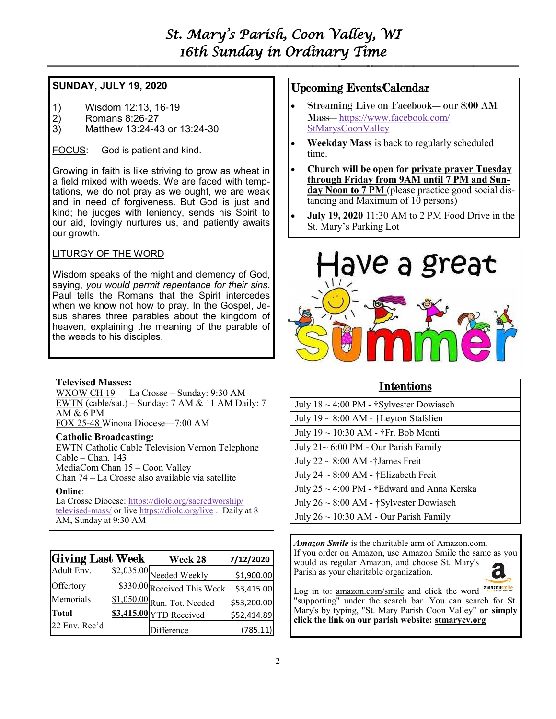# *St. Mary's Parish, Coon Valley, WI 16th Sunday in Ordinary Time*

**—————————————————————————–———–-——–--—————————————–—**

## **SUNDAY, JULY 19, 2020**

- 1) Wisdom 12:13, 16-19
- 2) Romans 8:26-27
- 3) Matthew 13:24-43 or 13:24-30

FOCUS: God is patient and kind.

Growing in faith is like striving to grow as wheat in a field mixed with weeds. We are faced with temptations, we do not pray as we ought, we are weak and in need of forgiveness. But God is just and kind; he judges with leniency, sends his Spirit to our aid, lovingly nurtures us, and patiently awaits our growth.

## LITURGY OF THE WORD

Wisdom speaks of the might and clemency of God, saying, *you would permit repentance for their sins*. Paul tells the Romans that the Spirit intercedes when we know not how to pray. In the Gospel, Jesus shares three parables about the kingdom of heaven, explaining the meaning of the parable of the weeds to his disciples.

## **Televised Masses:**

WXOW CH 19 La Crosse – Sunday: 9:30 AM EWTN (cable/sat.) – Sunday: 7 AM & 11 AM Daily: 7 AM & 6 PM FOX 25-48 Winona Diocese—7:00 AM

## **Catholic Broadcasting:**

EWTN Catholic Cable Television Vernon Telephone Cable – Chan. 143 MediaCom Chan 15 – Coon Valley Chan 74 – La Crosse also available via satellite

#### **Online**:

La Crosse Diocese: [https://diolc.org/sacredworship/](https://diolc.org/sacredworship/televised-mass/) [televised-mass/](https://diolc.org/sacredworship/televised-mass/) or live <https://diolc.org/live> . Daily at 8 AM, Sunday at 9:30 AM

| Giving Last Week | Week 28                     | 7/12/2020   |
|------------------|-----------------------------|-------------|
| Adult Env.       | $$2,035.00$ Needed Weekly   | \$1,900.00  |
| Offertory        | \$330.00 Received This Week | \$3,415.00  |
| Memorials        | \$1,050.00 Run. Tot. Needed | \$53,200.00 |
| Total            | \$3,415.00 YTD Received     | \$52,414.89 |
| 22 Env. Rec'd    | Difference                  | (785.11)    |

## Upcoming Events/Calendar

- Streaming Live on Facebook—our 8:00 AM Mass—[https://www.facebook.com/](https://www.facebook.com/StMarysCoonValley) [StMarysCoonValley](https://www.facebook.com/StMarysCoonValley)
- **Weekday Mass** is back to regularly scheduled time.
- **Church will be open for private prayer Tuesday through Friday from 9AM until 7 PM and Sunday Noon to 7 PM** (please practice good social distancing and Maximum of 10 persons)
- **July 19, 2020** 11:30 AM to 2 PM Food Drive in the St. Mary's Parking Lot



# Intentions

| July $18 \sim 4:00 \text{ PM}$ - †Sylvester Dowiasch     |
|----------------------------------------------------------|
| July $19 \sim 8:00$ AM - †Leyton Stafslien               |
| July 19 ~ 10:30 AM - †Fr. Bob Monti                      |
| July $21 \sim 6:00 \text{ PM}$ - Our Parish Family       |
| July $22 \sim 8:00$ AM -†James Freit                     |
| July 24 ~ 8:00 AM - †Elizabeth Freit                     |
| July $25 \sim 4:00 \text{ PM}$ - †Edward and Anna Kerska |
| July $26 \sim 8:00$ AM - †Sylvester Dowiasch             |
| July $26 \sim 10:30$ AM - Our Parish Family              |

*Amazon Smile* is the charitable arm of Amazon.com. If you order on Amazon, use Amazon Smile the same as you would as regular Amazon, and choose St. Mary's Parish as your charitable organization.

Log in to: [amazon.com/smile](http://amazon.com/smile) and click the word "supporting" under the search bar. You can search for St. Mary's by typing, "St. Mary Parish Coon Valley" **or simply click the link on our parish website: <stmarycv.org>**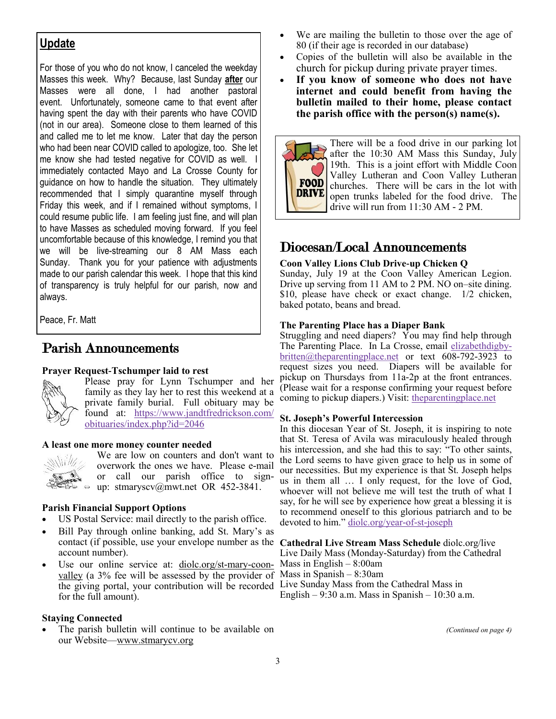# **Update**

For those of you who do not know, I canceled the weekday Masses this week. Why? Because, last Sunday **after** our Masses were all done, I had another pastoral event. Unfortunately, someone came to that event after having spent the day with their parents who have COVID (not in our area). Someone close to them learned of this and called me to let me know. Later that day the person who had been near COVID called to apologize, too. She let me know she had tested negative for COVID as well. I immediately contacted Mayo and La Crosse County for guidance on how to handle the situation. They ultimately recommended that I simply quarantine myself through Friday this week, and if I remained without symptoms, I could resume public life. I am feeling just fine, and will plan to have Masses as scheduled moving forward. If you feel uncomfortable because of this knowledge, I remind you that we will be live-streaming our 8 AM Mass each Sunday. Thank you for your patience with adjustments made to our parish calendar this week. I hope that this kind of transparency is truly helpful for our parish, now and always.

Peace, Fr. Matt

# Parish Announcements

#### **Prayer Request-Tschumper laid to rest**

Please pray for Lynn Tschumper and her family as they lay her to rest this weekend at a private family burial. Full obituary may be found at: [https://www.jandtfredrickson.com/](https://www.jandtfredrickson.com/obituaries/index.php?id=2046) [obituaries/index.php?id=2046](https://www.jandtfredrickson.com/obituaries/index.php?id=2046)

#### **A least one more money counter needed**



We are low on counters and don't want to overwork the ones we have. Please e-mail or call our parish office to sign- $\Rightarrow$   $\Rightarrow$  up: stmaryscv@mwt.net OR 452-3841.

## **Parish Financial Support Options**

- US Postal Service: mail directly to the parish office.
- Bill Pay through online banking, add St. Mary's as contact (if possible, use your envelope number as the **Cathedral Live Stream Mass Schedule** diolc.org/live account number).
- Use our online service at: [diolc.org/st-mary-coon](http://www.diolc.org/st-mary-coon-valley)[valley](http://www.diolc.org/st-mary-coon-valley) (a 3% fee will be assessed by the provider of the giving portal, your contribution will be recorded Live Sunday Mass from the Cathedral Mass in for the full amount).

## **Staying Connected**

The parish bulletin will continue to be available on our Website—[www.stmarycv.org](http://www.stmarycv.org) 

- We are mailing the bulletin to those over the age of 80 (if their age is recorded in our database)
- Copies of the bulletin will also be available in the church for pickup during private prayer times.
- **If you know of someone who does not have internet and could benefit from having the bulletin mailed to their home, please contact the parish office with the person(s) name(s).**



There will be a food drive in our parking lot after the 10:30 AM Mass this Sunday, July 19th. This is a joint effort with Middle Coon Valley Lutheran and Coon Valley Lutheran churches. There will be cars in the lot with open trunks labeled for the food drive. The drive will run from 11:30 AM - 2 PM.

# Diocesan/Local Announcements

# **Coon Valley Lions Club Drive-up Chicken Q**

Sunday, July 19 at the Coon Valley American Legion. Drive up serving from 11 AM to 2 PM. NO on–site dining. \$10, please have check or exact change. 1/2 chicken, baked potato, beans and bread.

#### **The Parenting Place has a Diaper Bank**

Struggling and need diapers? You may find help through The Parenting Place. In La Crosse, email [elizabethdigby](mailto:elizabethdigby-britten@theparentingplace.net?subject=Diapers%20Needed)[britten@theparentingplace.net](mailto:elizabethdigby-britten@theparentingplace.net?subject=Diapers%20Needed) or text 608-792-3923 to request sizes you need. Diapers will be available for pickup on Thursdays from 11a-2p at the front entrances. (Please wait for a response confirming your request before coming to pickup diapers.) Visit: the parenting place.net

#### **St. Joseph's Powerful Intercession**

In this diocesan Year of St. Joseph, it is inspiring to note that St. Teresa of Avila was miraculously healed through his intercession, and she had this to say: "To other saints, the Lord seems to have given grace to help us in some of our necessities. But my experience is that St. Joseph helps us in them all … I only request, for the love of God, whoever will not believe me will test the truth of what I say, for he will see by experience how great a blessing it is to recommend oneself to this glorious patriarch and to be devoted to him." [diolc.org/year-of-st-joseph](https://diolc.org/year-of-st-joseph)

Live Daily Mass (Monday-Saturday) from the Cathedral Mass in English  $-8:00$ am Mass in Spanish – 8:30am English –  $9:30$  a.m. Mass in Spanish –  $10:30$  a.m.

*(Continued on page 4)*